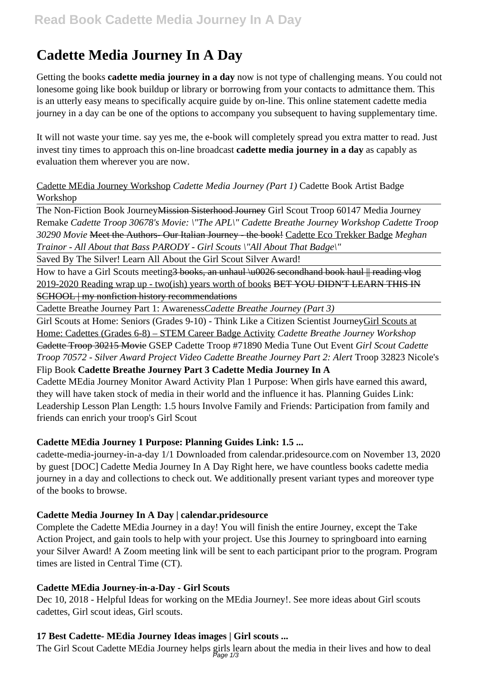# **Cadette Media Journey In A Day**

Getting the books **cadette media journey in a day** now is not type of challenging means. You could not lonesome going like book buildup or library or borrowing from your contacts to admittance them. This is an utterly easy means to specifically acquire guide by on-line. This online statement cadette media journey in a day can be one of the options to accompany you subsequent to having supplementary time.

It will not waste your time. say yes me, the e-book will completely spread you extra matter to read. Just invest tiny times to approach this on-line broadcast **cadette media journey in a day** as capably as evaluation them wherever you are now.

# Cadette MEdia Journey Workshop *Cadette Media Journey (Part 1)* Cadette Book Artist Badge Workshop

The Non-Fiction Book Journey Mission Sisterhood Journey Girl Scout Troop 60147 Media Journey Remake *Cadette Troop 30678's Movie: \"The APL\" Cadette Breathe Journey Workshop Cadette Troop 30290 Movie* Meet the Authors- Our Italian Journey - the book! Cadette Eco Trekker Badge *Meghan Trainor - All About that Bass PARODY - Girl Scouts \"All About That Badge\"*

Saved By The Silver! Learn All About the Girl Scout Silver Award!

How to have a Girl Scouts meeting<del>3 books, an unhaul \u0026 secondhand book haul || reading vlog</del> 2019-2020 Reading wrap up - two(ish) years worth of books BET YOU DIDN'T LEARN THIS IN SCHOOL | my nonfiction history recommendations

Cadette Breathe Journey Part 1: Awareness*Cadette Breathe Journey (Part 3)*

Girl Scouts at Home: Seniors (Grades 9-10) - Think Like a Citizen Scientist JourneyGirl Scouts at Home: Cadettes (Grades 6-8) – STEM Career Badge Activity *Cadette Breathe Journey Workshop* Cadette Troop 30215 Movie GSEP Cadette Troop #71890 Media Tune Out Event *Girl Scout Cadette Troop 70572 - Silver Award Project Video Cadette Breathe Journey Part 2: Alert* Troop 32823 Nicole's Flip Book **Cadette Breathe Journey Part 3 Cadette Media Journey In A**

Cadette MEdia Journey Monitor Award Activity Plan 1 Purpose: When girls have earned this award, they will have taken stock of media in their world and the influence it has. Planning Guides Link: Leadership Lesson Plan Length: 1.5 hours Involve Family and Friends: Participation from family and friends can enrich your troop's Girl Scout

# **Cadette MEdia Journey 1 Purpose: Planning Guides Link: 1.5 ...**

cadette-media-journey-in-a-day 1/1 Downloaded from calendar.pridesource.com on November 13, 2020 by guest [DOC] Cadette Media Journey In A Day Right here, we have countless books cadette media journey in a day and collections to check out. We additionally present variant types and moreover type of the books to browse.

# **Cadette Media Journey In A Day | calendar.pridesource**

Complete the Cadette MEdia Journey in a day! You will finish the entire Journey, except the Take Action Project, and gain tools to help with your project. Use this Journey to springboard into earning your Silver Award! A Zoom meeting link will be sent to each participant prior to the program. Program times are listed in Central Time (CT).

# **Cadette MEdia Journey-in-a-Day - Girl Scouts**

Dec 10, 2018 - Helpful Ideas for working on the MEdia Journey!. See more ideas about Girl scouts cadettes, Girl scout ideas, Girl scouts.

# **17 Best Cadette- MEdia Journey Ideas images | Girl scouts ...**

The Girl Scout Cadette MEdia Journey helps girls learn about the media in their lives and how to deal  $B$ <sub>age</sub>  $1/3$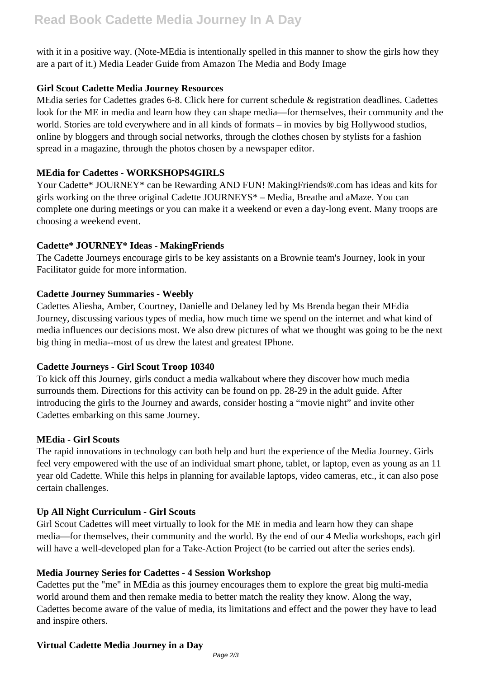# **Read Book Cadette Media Journey In A Day**

with it in a positive way. (Note-MEdia is intentionally spelled in this manner to show the girls how they are a part of it.) Media Leader Guide from Amazon The Media and Body Image

# **Girl Scout Cadette Media Journey Resources**

MEdia series for Cadettes grades 6-8. Click here for current schedule & registration deadlines. Cadettes look for the ME in media and learn how they can shape media—for themselves, their community and the world. Stories are told everywhere and in all kinds of formats – in movies by big Hollywood studios, online by bloggers and through social networks, through the clothes chosen by stylists for a fashion spread in a magazine, through the photos chosen by a newspaper editor.

# **MEdia for Cadettes - WORKSHOPS4GIRLS**

Your Cadette\* JOURNEY\* can be Rewarding AND FUN! MakingFriends®.com has ideas and kits for girls working on the three original Cadette JOURNEYS\* – Media, Breathe and aMaze. You can complete one during meetings or you can make it a weekend or even a day-long event. Many troops are choosing a weekend event.

# **Cadette\* JOURNEY\* Ideas - MakingFriends**

The Cadette Journeys encourage girls to be key assistants on a Brownie team's Journey, look in your Facilitator guide for more information.

# **Cadette Journey Summaries - Weebly**

Cadettes Aliesha, Amber, Courtney, Danielle and Delaney led by Ms Brenda began their MEdia Journey, discussing various types of media, how much time we spend on the internet and what kind of media influences our decisions most. We also drew pictures of what we thought was going to be the next big thing in media--most of us drew the latest and greatest IPhone.

#### **Cadette Journeys - Girl Scout Troop 10340**

To kick off this Journey, girls conduct a media walkabout where they discover how much media surrounds them. Directions for this activity can be found on pp. 28-29 in the adult guide. After introducing the girls to the Journey and awards, consider hosting a "movie night" and invite other Cadettes embarking on this same Journey.

#### **MEdia - Girl Scouts**

The rapid innovations in technology can both help and hurt the experience of the Media Journey. Girls feel very empowered with the use of an individual smart phone, tablet, or laptop, even as young as an 11 year old Cadette. While this helps in planning for available laptops, video cameras, etc., it can also pose certain challenges.

#### **Up All Night Curriculum - Girl Scouts**

Girl Scout Cadettes will meet virtually to look for the ME in media and learn how they can shape media—for themselves, their community and the world. By the end of our 4 Media workshops, each girl will have a well-developed plan for a Take-Action Project (to be carried out after the series ends).

# **Media Journey Series for Cadettes - 4 Session Workshop**

Cadettes put the "me" in MEdia as this journey encourages them to explore the great big multi-media world around them and then remake media to better match the reality they know. Along the way, Cadettes become aware of the value of media, its limitations and effect and the power they have to lead and inspire others.

# **Virtual Cadette Media Journey in a Day**